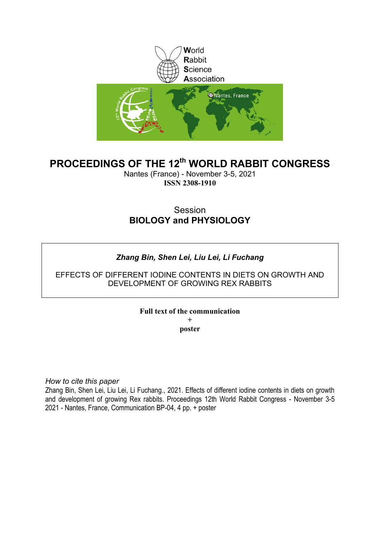

# **PROCEEDINGS OF THE 12th WORLD RABBIT CONGRESS**

Nantes (France) - November 3-5, 2021 **ISSN 2308-1910**

## Session **BIOLOGY and PHYSIOLOGY**

## *Zhang Bin, Shen Lei, Liu Lei, Li Fuchang*

## EFFECTS OF DIFFERENT IODINE CONTENTS IN DIETS ON GROWTH AND DEVELOPMENT OF GROWING REX RABBITS

## **Full text of the communication**

**+ poster**

*How to cite this paper*

Zhang Bin, Shen Lei, Liu Lei, Li Fuchang., 2021. Effects of different iodine contents in diets on growth and development of growing Rex rabbits. Proceedings 12th World Rabbit Congress - November 3-5 2021 - Nantes, France, Communication BP-04, 4 pp. + poster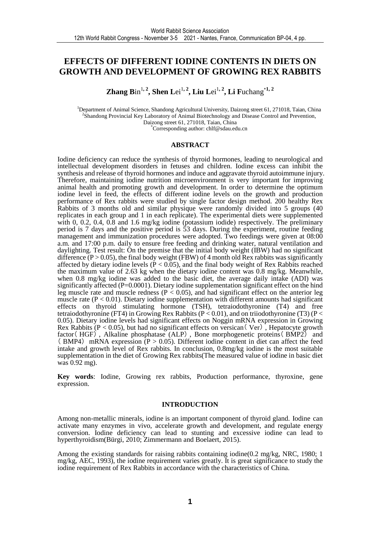## **EFFECTS OF DIFFERENT IODINE CONTENTS IN DIETS ON GROWTH AND DEVELOPMENT OF GROWING REX RABBITS**

**Zhang B**in<sup>1, 2</sup>, Shen Lei<sup>1, 2</sup>, Liu Lei<sup>1, 2</sup>, Li Fuchang<sup>\*1, 2</sup>

<sup>1</sup>Department of Animal Science, Shandong Agricultural University, Daizong street 61, 271018, Taian, China <sup>2</sup>Shandong Provincial Key Laboratory of Animal Biotechnology and Disease Control and Prevention, Daizong street 61, 271018, Taian, China \*Corresponding author: chlf@sdau.edu.cn

#### **ABSTRACT**

Iodine deficiency can reduce the synthesis of thyroid hormones, leading to neurological and intellectual development disorders in fetuses and children. Iodine excess can inhibit the synthesis and release of thyroid hormones and induce and aggravate thyroid autoimmune injury. Therefore, maintaining iodine nutrition microenvironment is very important for improving animal health and promoting growth and development. In order to determine the optimum iodine level in feed, the effects of different iodine levels on the growth and production performance of Rex rabbits were studied by single factor design method. 200 healthy Rex Rabbits of 3 months old and similar physique were randomly divided into 5 groups (40 replicates in each group and 1 in each replicate). The experimental diets were supplemented with 0, 0.2, 0.4, 0.8 and 1.6 mg/kg iodine (potassium iodide) respectively. The preliminary period is 7 days and the positive period is 53 days. During the experiment, routine feeding management and immunization procedures were adopted. Two feedings were given at 08:00 a.m. and 17:00 p.m. daily to ensure free feeding and drinking water, natural ventilation and daylighting. Test result: On the premise that the initial body weight (IBW) had no significant difference  $(P > 0.05)$ , the final body weight (FBW) of 4 month old Rex rabbits was significantly affected by dietary iodine levels ( $P < 0.05$ ), and the final body weight of Rex Rabbits reached the maximum value of 2.63 kg when the dietary iodine content was 0.8 mg/kg. Meanwhile, when 0.8 mg/kg iodine was added to the basic diet, the average daily intake (ADI) was significantly affected (P=0.0001). Dietary iodine supplementation significant effect on the hind leg muscle rate and muscle redness ( $P < 0.05$ ), and had significant effect on the anterior leg muscle rate ( $P < 0.01$ ). Dietary iodine supplementation with different amounts had significant effects on thyroid stimulating hormone (TSH), tetraiodothyronine (T4) and free tetraiodothyronine (FT4) in Growing Rex Rabbits (P < 0.01), and on triiodothyronine (T3) (P < 0.05). Dietary iodine levels had significant effects on Noggin mRNA expression in Growing Rex Rabbits ( $P < 0.05$ ), but had no significant effects on versican (Ver), Hepatocyte growth factor ( $HGF$ ), Alkaline phosphatase (ALP), Bone morphogenetic proteins ( $BMP2$ ) and ( BMP4) mRNA expression  $(P > 0.05)$ . Different iodine content in diet can affect the feed intake and growth level of Rex rabbits. In conclusion, 0.8mg/kg iodine is the most suitable supplementation in the diet of Growing Rex rabbits(The measured value of iodine in basic diet was 0.92 mg).

**Key words**: Iodine, Growing rex rabbits, Production performance, thyroxine, gene expression.

#### **INTRODUCTION**

Among non-metallic minerals, iodine is an important component of thyroid gland. Iodine can activate many enzymes in vivo, accelerate growth and development, and regulate energy conversion. Iodine deficiency can lead to stunting and excessive iodine can lead to hyperthyroidism(Bürgi, 2010; Zimmermann and Boelaert, 2015).

Among the existing standards for raising rabbits containing iodine(0.2 mg/kg, NRC, 1980; 1 mg/kg, AEC, 1993), the iodine requirement varies greatly. It is great significance to study the iodine requirement of Rex Rabbits in accordance with the characteristics of China.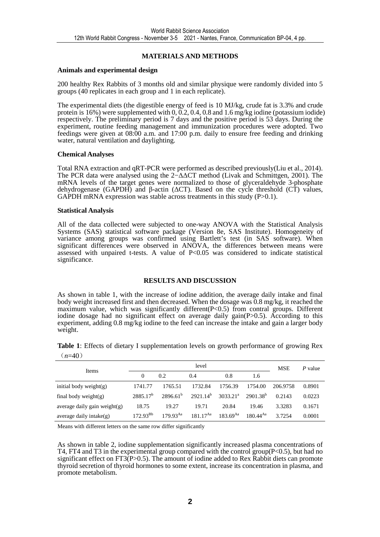#### **MATERIALS AND METHODS**

#### **Animals and experimental design**

200 healthy Rex Rabbits of 3 months old and similar physique were randomly divided into 5 groups (40 replicates in each group and 1 in each replicate).

The experimental diets (the digestible energy of feed is 10 MJ/kg, crude fat is 3.3% and crude protein is 16%) were supplemented with  $0, 0.2, 0.4, 0.8$  and 1.6 mg/kg iodine (potassium iodide) respectively. The preliminary period is 7 days and the positive period is 53 days. During the experiment, routine feeding management and immunization procedures were adopted. Two feedings were given at 08:00 a.m. and 17:00 p.m. daily to ensure free feeding and drinking water, natural ventilation and daylighting.

#### **Chemical Analyses**

Total RNA extraction and qRT-PCR were performed as described previously(Liu et al., 2014). The PCR data were analysed using the 2−∆∆CT method (Livak and Schmittgen, 2001). The mRNA levels of the target genes were normalized to those of glyceraldehyde 3-phosphate dehydrogenase (GAPDH) and  $\beta$ -actin ( $\Delta$ CT). Based on the cycle threshold (CT) values, GAPDH mRNA expression was stable across treatments in this study  $(P>0.1)$ .

#### **Statistical Analysis**

All of the data collected were subjected to one-way ANOVA with the Statistical Analysis Systems (SAS) statistical software package (Version 8e, SAS Institute). Homogeneity of variance among groups was confirmed using Bartlett's test (in SAS software). When significant differences were observed in ANOVA, the differences between means were assessed with unpaired t-tests. A value of P<0.05 was considered to indicate statistical significance.

#### **RESULTS AND DISCUSSION**

As shown in table 1, with the increase of iodine addition, the average daily intake and final body weight increased first and then decreased. When the dosage was 0.8 mg/kg, it reached the maximum value, which was significantly different (P<0.5) from contral groups. Different iodine dosage had no significant effect on average daily gain(P>0.5). According to this experiment, adding 0.8 mg/kg iodine to the feed can increase the intake and gain a larger body weight.

**Table 1**: Effects of dietary I supplementation levels on growth performance of growing Rex  $(n=40)$ 

| Items                           |                      | <b>MSE</b>    | P value       |               |                      |          |        |
|---------------------------------|----------------------|---------------|---------------|---------------|----------------------|----------|--------|
|                                 | 0                    | 0.2           | 0.4           | 0.8           | 1.6                  |          |        |
| initial body weight $(g)$       | 1741.77              | 1765.51       | 1732.84       | 1756.39       | 1754.00              | 206.9758 | 0.8901 |
| final body weight $(g)$         | 2885.17 <sup>b</sup> | $2896.61^{b}$ | $2921.14^b$   | $3033.21^a$   | 2901.38 <sup>b</sup> | 0.2143   | 0.0223 |
| average daily gain weight $(g)$ | 18.75                | 19.27         | 19.71         | 20.84         | 19.46                | 3.3283   | 0.1671 |
| average daily intake $(g)$      | $172.93^{Bb}$        | $179.93^{Aa}$ | $181.17^{Aa}$ | $183.69^{Aa}$ | $180.44^{Aa}$        | 3.7254   | 0.0001 |

Means with different letters on the same row differ significantly

As shown in table 2, iodine supplementation significantly increased plasma concentrations of T4, FT4 and T3 in the experimental group compared with the control group(P<0.5), but had no significant effect on  $FT3(P>0.5)$ . The amount of iodine added to Rex Rabbit diets can promote thyroid secretion of thyroid hormones to some extent, increase its concentration in plasma, and promote metabolism.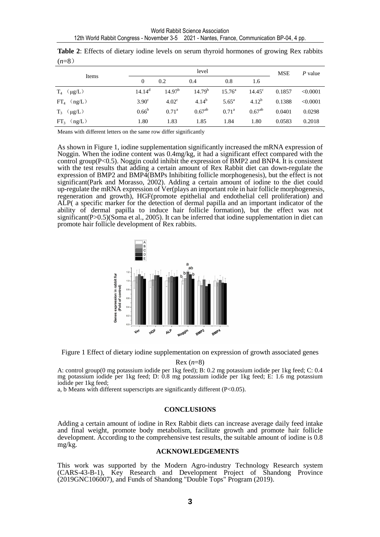| Items               |                   |                    | <b>MSE</b>         | $P$ value       |                 |        |          |  |
|---------------------|-------------------|--------------------|--------------------|-----------------|-----------------|--------|----------|--|
|                     | $\overline{0}$    | 0.2                | 0.4                | 0.8             | 1.6             |        |          |  |
| $T_4$ ( $\mu g/L$ ) | $14.14^d$         | 14.97 <sup>b</sup> | 14.79 <sup>b</sup> | $15.76^{\circ}$ | $14.45^{\circ}$ | 0.1857 | < 0.0001 |  |
| $FT_4$ (ng/L)       | 3.90 <sup>c</sup> | 4.02 <sup>c</sup>  | $4.14^{b}$         | $5.65^{\rm a}$  | $4.12^{b}$      | 0.1388 | < 0.0001 |  |
| $T_3$ ( $\mu$ g/L)  | $0.66^{\rm b}$    | $0.71^{\rm a}$     | $0.67^{ab}$        | $0.71^{\rm a}$  | $0.67^{ab}$     | 0.0401 | 0.0298   |  |
| $FT_3$ (ng/L)       | 1.80              | 1.83               | 1.85               | 1.84            | 1.80            | 0.0583 | 0.2018   |  |

|         |  |  |  |  | <b>Table 2:</b> Effects of dietary iodine levels on serum thyroid hormones of growing Rex rabbits |  |  |
|---------|--|--|--|--|---------------------------------------------------------------------------------------------------|--|--|
| $(n=8)$ |  |  |  |  |                                                                                                   |  |  |

Means with different letters on the same row differ significantly

As shown in Figure 1, iodine supplementation significantly increased the mRNA expression of Noggin. When the iodine content was 0.4mg/kg, it had a significant effect compared with the control group( $P < 0.5$ ). Noggin could inhibit the expression of BMP2 and BNP4. It is consistent with the test results that adding a certain amount of Rex Rabbit diet can down-regulate the expression of BMP2 and BMP4(BMPs Inhibiting follicle morphogenesis), but the effect is not significant(Park and Morasso, 2002). Adding a certain amount of iodine to the diet could up-regulate the mRNA expression of Ver(plays an important role in hair follicle morphogenesis, regeneration and growth), HGF(promote epithelial and endothelial cell proliferation) and ALP( a specific marker for the detection of dermal papilla and an important indicator of the ability of dermal papilla to induce hair follicle formation), but the effect was not significant(P>0.5)(Soma et al., 2005). It can be inferred that iodine supplementation in diet can promote hair follicle development of Rex rabbits.



Figure 1 Effect of dietary iodine supplementation on expression of growth associated genes

#### Rex (*n*=8)

A: control group(0 mg potassium iodide per 1kg feed); B: 0.2 mg potassium iodide per 1kg feed; C: 0.4 mg potassium iodide per 1kg feed; D: 0.8 mg potassium iodide per 1kg feed; E: 1.6 mg potassium iodide per 1kg feed;

a, b Means with different superscripts are significantly different (P<0.05).

#### **CONCLUSIONS**

Adding a certain amount of iodine in Rex Rabbit diets can increase average daily feed intake and final weight, promote body metabolism, facilitate growth and promote hair follicle development. According to the comprehensive test results, the suitable amount of iodine is 0.8 mg/kg.

#### **ACKNOWLEDGEMENTS**

This work was supported by the Modern Agro-industry Technology Research system (CARS-43-B-1), Key Research and Development Project of Shandong Province (2019GNC106007), and Funds of Shandong "Double Tops" Program (2019).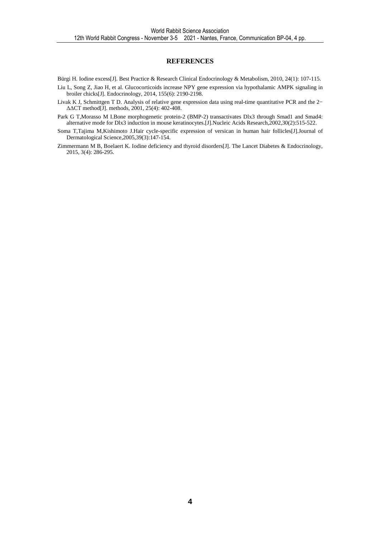#### **REFERENCES**

Bürgi H. Iodine excess[J]. Best Practice & Research Clinical Endocrinology & Metabolism, 2010, 24(1): 107-115.

- Liu L, Song Z, Jiao H, et al. Glucocorticoids increase NPY gene expression via hypothalamic AMPK signaling in broiler chicks[J]. Endocrinology, 2014, 155(6): 2190-2198.
- Livak K J, Schmittgen T D. Analysis of relative gene expression data using real-time quantitative PCR and the 2− ∆∆CT method[J]. methods, 2001, 25(4): 402-408.
- Park G T, Morasso M I.Bone morphogenetic protein-2 (BMP-2) transactivates Dlx3 through Smad1 and Smad4: alternative mode for Dlx3 induction in mouse keratinocytes.[J].Nucleic Acids Research,2002,30(2):515-522.
- Soma T,Tajima M,Kishimoto J.Hair cycle-specific expression of versican in human hair follicles[J].Journal of Dermatological Science,2005,39(3):147-154.
- Zimmermann M B, Boelaert K. Iodine deficiency and thyroid disorders[J]. The Lancet Diabetes & Endocrinology, 2015, 3(4): 286-295.